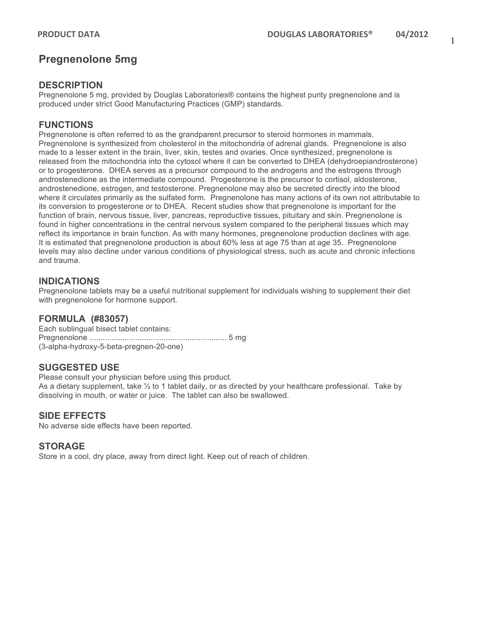1

## **Pregnenolone 5mg**

## **DESCRIPTION**

Pregnenolone 5 mg, provided by Douglas Laboratories® contains the highest purity pregnenolone and is produced under strict Good Manufacturing Practices (GMP) standards.

## **FUNCTIONS**

Pregnenolone is often referred to as the grandparent precursor to steroid hormones in mammals. Pregnenolone is synthesized from cholesterol in the mitochondria of adrenal glands. Pregnenolone is also made to a lesser extent in the brain, liver, skin, testes and ovaries. Once synthesized, pregnenolone is released from the mitochondria into the cytosol where it can be converted to DHEA (dehydroepiandrosterone) or to progesterone. DHEA serves as a precursor compound to the androgens and the estrogens through androstenedione as the intermediate compound. Progesterone is the precursor to cortisol, aldosterone, androstenedione, estrogen, and testosterone. Pregnenolone may also be secreted directly into the blood where it circulates primarily as the sulfated form. Pregnenolone has many actions of its own not attributable to its conversion to progesterone or to DHEA. Recent studies show that pregnenolone is important for the function of brain, nervous tissue, liver, pancreas, reproductive tissues, pituitary and skin. Pregnenolone is found in higher concentrations in the central nervous system compared to the peripheral tissues which may reflect its importance in brain function. As with many hormones, pregnenolone production declines with age. It is estimated that pregnenolone production is about 60% less at age 75 than at age 35. Pregnenolone levels may also decline under various conditions of physiological stress, such as acute and chronic infections and trauma.

## **INDICATIONS**

Pregnenolone tablets may be a useful nutritional supplement for individuals wishing to supplement their diet with pregnenolone for hormone support.

#### **FORMULA (#83057)**

Each sublingual bisect tablet contains: Pregnenolone ............................................................... 5 mg (3-alpha-hydroxy-5-beta-pregnen-20-one)

#### **SUGGESTED USE**

Please consult your physician before using this product. As a dietary supplement, take ½ to 1 tablet daily, or as directed by your healthcare professional. Take by dissolving in mouth, or water or juice. The tablet can also be swallowed.

#### **SIDE EFFECTS**

No adverse side effects have been reported.

#### **STORAGE**

Store in a cool, dry place, away from direct light. Keep out of reach of children.